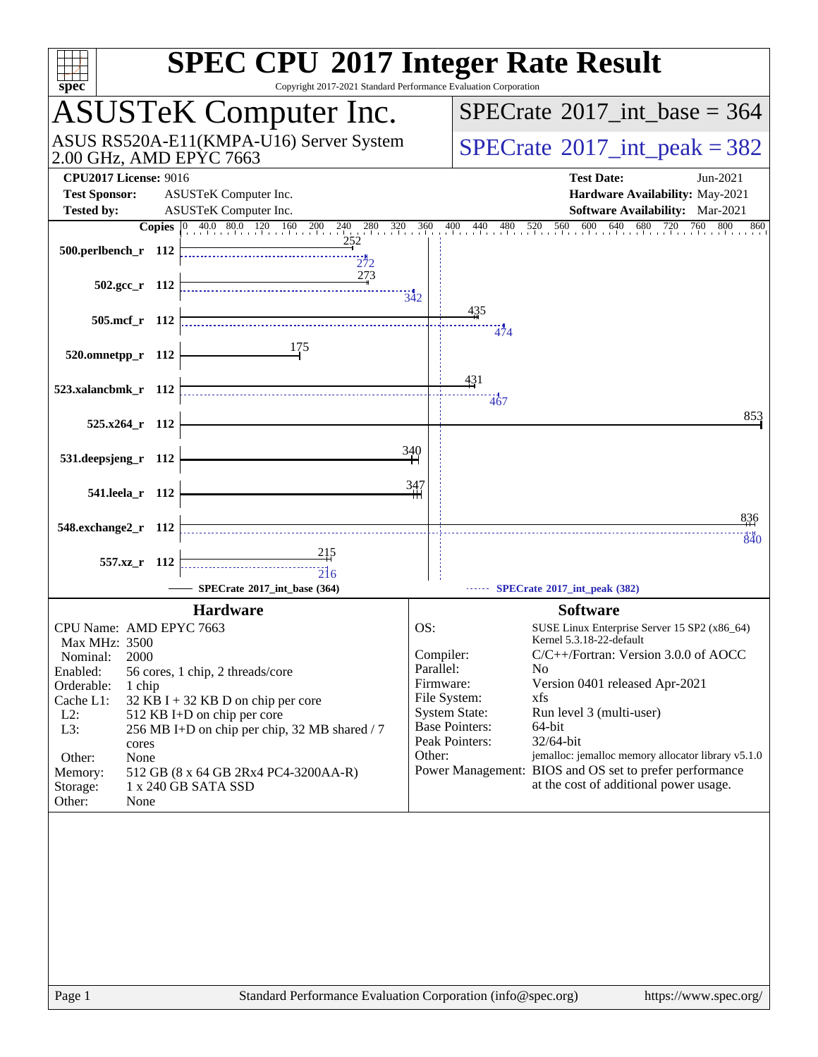| $spec^*$                                                                                                     | <b>SPEC CPU®2017 Integer Rate Result</b><br>Copyright 2017-2021 Standard Performance Evaluation Corporation               |
|--------------------------------------------------------------------------------------------------------------|---------------------------------------------------------------------------------------------------------------------------|
| <b>ASUSTeK Computer Inc.</b>                                                                                 | $SPECrate^{\circledast}2017\_int\_base = 364$                                                                             |
| ASUS RS520A-E11(KMPA-U16) Server System<br>2.00 GHz, AMD EPYC 7663                                           | $SPECrate^{\circ}2017\_int\_peak = 382$                                                                                   |
| <b>CPU2017 License: 9016</b>                                                                                 | <b>Test Date:</b><br>Jun-2021                                                                                             |
| <b>Test Sponsor:</b><br>ASUSTeK Computer Inc.                                                                | Hardware Availability: May-2021                                                                                           |
| ASUSTeK Computer Inc.<br><b>Tested by:</b><br><b>Copies</b> 0 40.0 80.0 120 160 200 240<br>$280 \t320 \t360$ | Software Availability: Mar-2021<br>$480$ $520$ $560$ $600$<br>640<br>680<br>720<br>760<br>800<br>400<br>$^{440}$ .<br>860 |
| 252<br>500.perlbench_r 112<br>272                                                                            |                                                                                                                           |
| 273<br>$502.\text{gcc r}$ 112                                                                                | 342                                                                                                                       |
| 505.mcf_r 112                                                                                                | 435<br>474                                                                                                                |
| 175<br>520.omnetpp_r 112                                                                                     |                                                                                                                           |
| 523.xalancbmk_r 112                                                                                          | 431<br>467                                                                                                                |
| 525.x264 r 112                                                                                               | 853                                                                                                                       |
| 531.deepsjeng_r 112                                                                                          | 340                                                                                                                       |
| 541.leela_r 112                                                                                              | 347                                                                                                                       |
| 548.exchange2_r 112                                                                                          | 836<br>840                                                                                                                |
| <u> 215</u><br>557.xz r 112<br>216                                                                           |                                                                                                                           |
| SPECrate®2017_int_base (364)                                                                                 | SPECrate®2017_int_peak (382)                                                                                              |
| <b>Hardware</b><br>CPU Name: AMD EPYC 7663                                                                   | <b>Software</b><br>OS:<br>SUSE Linux Enterprise Server 15 SP2 (x86_64)                                                    |
| Max MHz: 3500                                                                                                | Kernel 5.3.18-22-default<br>C/C++/Fortran: Version 3.0.0 of AOCC<br>Compiler:                                             |
| 2000<br>Nominal:<br>Enabled:<br>56 cores, 1 chip, 2 threads/core                                             | Parallel:<br>No.                                                                                                          |
| Orderable:<br>1 chip                                                                                         | Firmware:<br>Version 0401 released Apr-2021                                                                               |
| Cache L1:<br>$32$ KB I + 32 KB D on chip per core<br>$L2$ :<br>512 KB I+D on chip per core                   | File System:<br>xfs<br><b>System State:</b><br>Run level 3 (multi-user)                                                   |
| L3:<br>256 MB I+D on chip per chip, 32 MB shared / 7                                                         | <b>Base Pointers:</b><br>64-bit                                                                                           |
| cores                                                                                                        | Peak Pointers:<br>32/64-bit<br>Other:<br>jemalloc: jemalloc memory allocator library v5.1.0                               |
| Other:<br>None<br>512 GB (8 x 64 GB 2Rx4 PC4-3200AA-R)<br>Memory:                                            | Power Management: BIOS and OS set to prefer performance                                                                   |
| 1 x 240 GB SATA SSD<br>Storage:<br>Other:<br>None                                                            | at the cost of additional power usage.                                                                                    |
|                                                                                                              |                                                                                                                           |
| Page 1                                                                                                       | Standard Performance Evaluation Corporation (info@spec.org)<br>https://www.spec.org/                                      |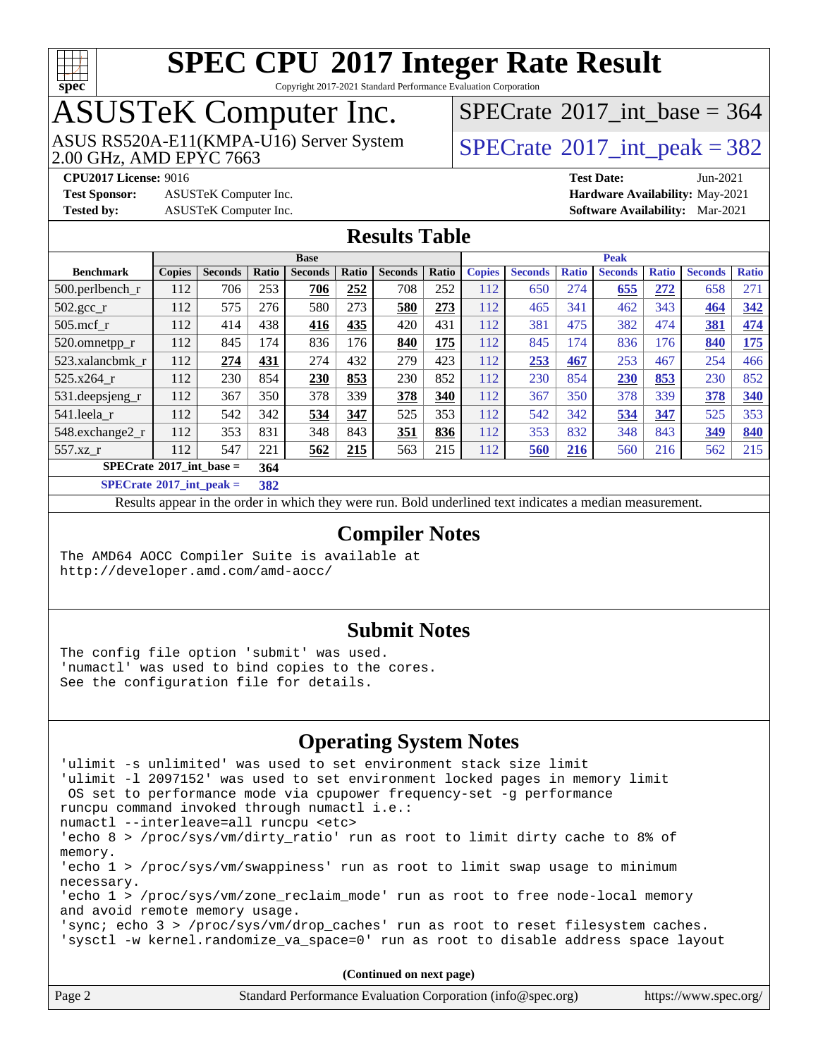

Copyright 2017-2021 Standard Performance Evaluation Corporation

## ASUSTeK Computer Inc.

ASUS RS520A-E11(KMPA-U16) Server System [SPECrate](http://www.spec.org/auto/cpu2017/Docs/result-fields.html#SPECrate2017intpeak)®[2017\\_int\\_peak = 3](http://www.spec.org/auto/cpu2017/Docs/result-fields.html#SPECrate2017intpeak)82

 $SPECTate$ <sup>®</sup>[2017\\_int\\_base =](http://www.spec.org/auto/cpu2017/Docs/result-fields.html#SPECrate2017intbase) 364

**[Test Sponsor:](http://www.spec.org/auto/cpu2017/Docs/result-fields.html#TestSponsor)** ASUSTeK Computer Inc. **[Hardware Availability:](http://www.spec.org/auto/cpu2017/Docs/result-fields.html#HardwareAvailability)** May-2021

**[CPU2017 License:](http://www.spec.org/auto/cpu2017/Docs/result-fields.html#CPU2017License)** 9016 **[Test Date:](http://www.spec.org/auto/cpu2017/Docs/result-fields.html#TestDate)** Jun-2021 **[Tested by:](http://www.spec.org/auto/cpu2017/Docs/result-fields.html#Testedby)** ASUSTeK Computer Inc. **[Software Availability:](http://www.spec.org/auto/cpu2017/Docs/result-fields.html#SoftwareAvailability)** Mar-2021

#### **[Results Table](http://www.spec.org/auto/cpu2017/Docs/result-fields.html#ResultsTable)**

|                                   | <b>Base</b>   |                |       |                |       | <b>Peak</b>    |       |               |                |              |                |              |                |              |
|-----------------------------------|---------------|----------------|-------|----------------|-------|----------------|-------|---------------|----------------|--------------|----------------|--------------|----------------|--------------|
| <b>Benchmark</b>                  | <b>Copies</b> | <b>Seconds</b> | Ratio | <b>Seconds</b> | Ratio | <b>Seconds</b> | Ratio | <b>Copies</b> | <b>Seconds</b> | <b>Ratio</b> | <b>Seconds</b> | <b>Ratio</b> | <b>Seconds</b> | <b>Ratio</b> |
| 500.perlbench_r                   | 112           | 706            | 253   | 706            | 252   | 708            | 252   | 112           | 650            | 274          | 655            | 272          | 658            | 271          |
| $502.\text{gcc\_r}$               | 112           | 575            | 276   | 580            | 273   | 580            | 273   | 112           | 465            | 341          | 462            | 343          | 464            | 342          |
| $505$ .mcf_r                      | 112           | 414            | 438   | 416            | 435   | 420            | 431   | 112           | 381            | 475          | 382            | 474          | 381            | 474          |
| 520.omnetpp_r                     | 112           | 845            | 174   | 836            | 176   | 840            | 175   | 112           | 845            | 174          | 836            | 176          | 840            | 175          |
| 523.xalancbmk r                   | 112           | 274            | 431   | 274            | 432   | 279            | 423   | 112           | 253            | 467          | 253            | 467          | 254            | 466          |
| 525.x264 r                        | 112           | 230            | 854   | 230            | 853   | 230            | 852   | 112           | 230            | 854          | 230            | 853          | 230            | 852          |
| $531.$ deepsjeng $_r$             | 112           | 367            | 350   | 378            | 339   | 378            | 340   | 112           | 367            | 350          | 378            | 339          | 378            | 340          |
| 541.leela r                       | 112           | 542            | 342   | 534            | 347   | 525            | 353   | 112           | 542            | 342          | 534            | 347          | 525            | 353          |
| 548.exchange2 r                   | 112           | 353            | 831   | 348            | 843   | 351            | 836   | 112           | 353            | 832          | 348            | 843          | 349            | 840          |
| 557.xz r                          | 112           | 547            | 221   | 562            | 215   | 563            | 215   | 112           | 560            | <b>216</b>   | 560            | 216          | 562            | 215          |
| $SPECrate^{\circ}2017$ int base = |               |                | 364   |                |       |                |       |               |                |              |                |              |                |              |
|                                   |               |                |       |                |       |                |       |               |                |              |                |              |                |              |

**[SPECrate](http://www.spec.org/auto/cpu2017/Docs/result-fields.html#SPECrate2017intpeak)[2017\\_int\\_peak =](http://www.spec.org/auto/cpu2017/Docs/result-fields.html#SPECrate2017intpeak) 382**

Results appear in the [order in which they were run](http://www.spec.org/auto/cpu2017/Docs/result-fields.html#RunOrder). Bold underlined text [indicates a median measurement](http://www.spec.org/auto/cpu2017/Docs/result-fields.html#Median).

#### **[Compiler Notes](http://www.spec.org/auto/cpu2017/Docs/result-fields.html#CompilerNotes)**

The AMD64 AOCC Compiler Suite is available at <http://developer.amd.com/amd-aocc/>

#### **[Submit Notes](http://www.spec.org/auto/cpu2017/Docs/result-fields.html#SubmitNotes)**

The config file option 'submit' was used. 'numactl' was used to bind copies to the cores. See the configuration file for details.

#### **[Operating System Notes](http://www.spec.org/auto/cpu2017/Docs/result-fields.html#OperatingSystemNotes)**

| 'ulimit -s unlimited' was used to set environment stack size limit                  |  |  |  |  |  |
|-------------------------------------------------------------------------------------|--|--|--|--|--|
| 'ulimit -1 2097152' was used to set environment locked pages in memory limit        |  |  |  |  |  |
| OS set to performance mode via cpupower frequency-set -g performance                |  |  |  |  |  |
| runcpu command invoked through numactl i.e.:                                        |  |  |  |  |  |
| numactl --interleave=all runcpu <etc></etc>                                         |  |  |  |  |  |
| 'echo 8 > /proc/sys/vm/dirty_ratio' run as root to limit dirty cache to 8% of       |  |  |  |  |  |
| memory.                                                                             |  |  |  |  |  |
| 'echo 1 > /proc/sys/vm/swappiness' run as root to limit swap usage to minimum       |  |  |  |  |  |
| necessary.                                                                          |  |  |  |  |  |
| 'echo $1$ > /proc/sys/vm/zone reclaim mode' run as root to free node-local memory   |  |  |  |  |  |
| and avoid remote memory usage.                                                      |  |  |  |  |  |
| 'sync; echo $3$ > /proc/sys/vm/drop caches' run as root to reset filesystem caches. |  |  |  |  |  |
| 'sysctl -w kernel.randomize_va_space=0' run as root to disable address space layout |  |  |  |  |  |
|                                                                                     |  |  |  |  |  |
| (Continued on next page)                                                            |  |  |  |  |  |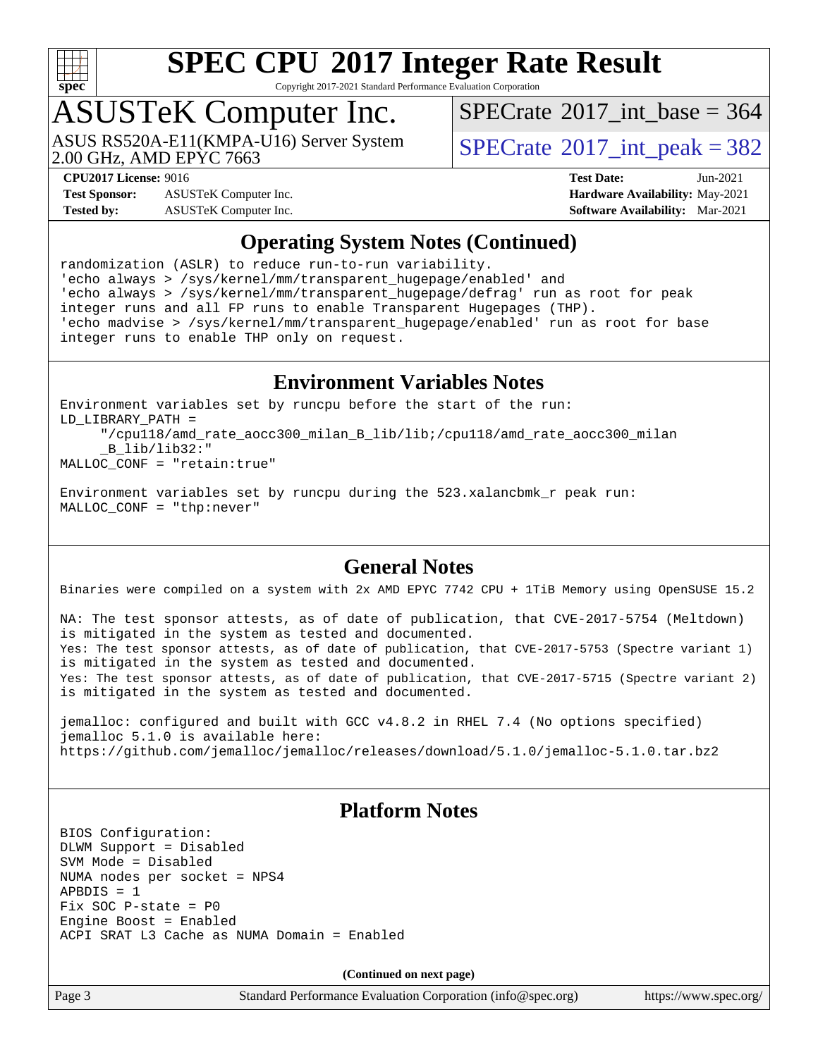

Copyright 2017-2021 Standard Performance Evaluation Corporation

# ASUSTeK Computer Inc.

2.00 GHz, AMD EPYC 7663

 $SPECrate$ <sup>®</sup>[2017\\_int\\_base =](http://www.spec.org/auto/cpu2017/Docs/result-fields.html#SPECrate2017intbase) 364

 $SPECTate@2017\_int\_peak = 382$ 

**[Test Sponsor:](http://www.spec.org/auto/cpu2017/Docs/result-fields.html#TestSponsor)** ASUSTeK Computer Inc. **[Hardware Availability:](http://www.spec.org/auto/cpu2017/Docs/result-fields.html#HardwareAvailability)** May-2021 **[Tested by:](http://www.spec.org/auto/cpu2017/Docs/result-fields.html#Testedby)** ASUSTeK Computer Inc. **[Software Availability:](http://www.spec.org/auto/cpu2017/Docs/result-fields.html#SoftwareAvailability)** Mar-2021

**[CPU2017 License:](http://www.spec.org/auto/cpu2017/Docs/result-fields.html#CPU2017License)** 9016 **[Test Date:](http://www.spec.org/auto/cpu2017/Docs/result-fields.html#TestDate)** Jun-2021

#### **[Operating System Notes \(Continued\)](http://www.spec.org/auto/cpu2017/Docs/result-fields.html#OperatingSystemNotes)**

randomization (ASLR) to reduce run-to-run variability. 'echo always > /sys/kernel/mm/transparent\_hugepage/enabled' and 'echo always > /sys/kernel/mm/transparent\_hugepage/defrag' run as root for peak integer runs and all FP runs to enable Transparent Hugepages (THP). 'echo madvise > /sys/kernel/mm/transparent\_hugepage/enabled' run as root for base integer runs to enable THP only on request.

#### **[Environment Variables Notes](http://www.spec.org/auto/cpu2017/Docs/result-fields.html#EnvironmentVariablesNotes)**

```
Environment variables set by runcpu before the start of the run:
LD_LIBRARY_PATH =
      "/cpu118/amd_rate_aocc300_milan_B_lib/lib;/cpu118/amd_rate_aocc300_milan
      _B_lib/lib32:"
MALLOC_CONF = "retain:true"
```
Environment variables set by runcpu during the 523.xalancbmk\_r peak run: MALLOC\_CONF = "thp:never"

#### **[General Notes](http://www.spec.org/auto/cpu2017/Docs/result-fields.html#GeneralNotes)**

Binaries were compiled on a system with 2x AMD EPYC 7742 CPU + 1TiB Memory using OpenSUSE 15.2

NA: The test sponsor attests, as of date of publication, that CVE-2017-5754 (Meltdown) is mitigated in the system as tested and documented. Yes: The test sponsor attests, as of date of publication, that CVE-2017-5753 (Spectre variant 1) is mitigated in the system as tested and documented. Yes: The test sponsor attests, as of date of publication, that CVE-2017-5715 (Spectre variant 2) is mitigated in the system as tested and documented.

jemalloc: configured and built with GCC v4.8.2 in RHEL 7.4 (No options specified) jemalloc 5.1.0 is available here: <https://github.com/jemalloc/jemalloc/releases/download/5.1.0/jemalloc-5.1.0.tar.bz2>

#### **[Platform Notes](http://www.spec.org/auto/cpu2017/Docs/result-fields.html#PlatformNotes)**

BIOS Configuration: DLWM Support = Disabled SVM Mode = Disabled NUMA nodes per socket = NPS4 APBDIS = 1 Fix SOC P-state = P0 Engine Boost = Enabled ACPI SRAT L3 Cache as NUMA Domain = Enabled

**(Continued on next page)**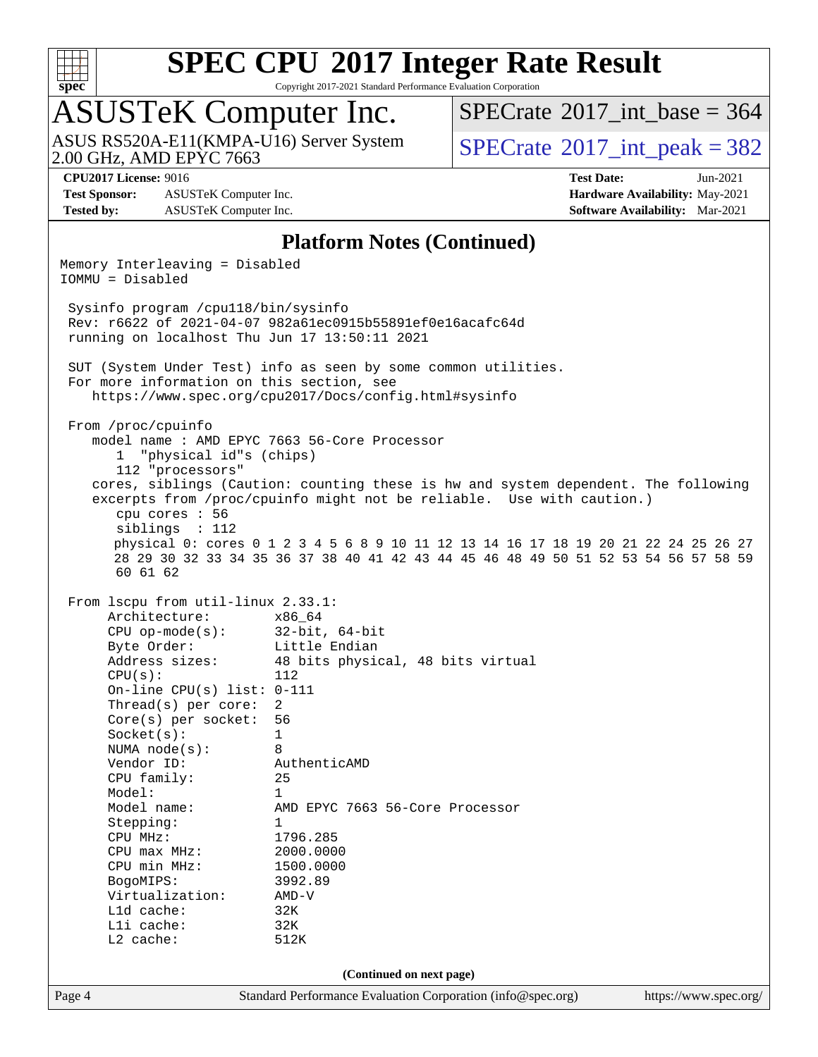

Copyright 2017-2021 Standard Performance Evaluation Corporation

# ASUSTeK Computer Inc.<br>ASUS RS520A-E11(KMPA-U16) Server System

2.00 GHz, AMD EPYC 7663

 $SPECTate$ <sup>®</sup>[2017\\_int\\_base =](http://www.spec.org/auto/cpu2017/Docs/result-fields.html#SPECrate2017intbase) 364

 $SPECTate@2017\_int\_peak = 382$ 

**[Test Sponsor:](http://www.spec.org/auto/cpu2017/Docs/result-fields.html#TestSponsor)** ASUSTeK Computer Inc. **[Hardware Availability:](http://www.spec.org/auto/cpu2017/Docs/result-fields.html#HardwareAvailability)** May-2021 **[Tested by:](http://www.spec.org/auto/cpu2017/Docs/result-fields.html#Testedby)** ASUSTeK Computer Inc. **[Software Availability:](http://www.spec.org/auto/cpu2017/Docs/result-fields.html#SoftwareAvailability)** Mar-2021

**[CPU2017 License:](http://www.spec.org/auto/cpu2017/Docs/result-fields.html#CPU2017License)** 9016 **[Test Date:](http://www.spec.org/auto/cpu2017/Docs/result-fields.html#TestDate)** Jun-2021

#### **[Platform Notes \(Continued\)](http://www.spec.org/auto/cpu2017/Docs/result-fields.html#PlatformNotes)**

Page 4 Standard Performance Evaluation Corporation [\(info@spec.org\)](mailto:info@spec.org) <https://www.spec.org/> Memory Interleaving = Disabled IOMMU = Disabled Sysinfo program /cpu118/bin/sysinfo Rev: r6622 of 2021-04-07 982a61ec0915b55891ef0e16acafc64d running on localhost Thu Jun 17 13:50:11 2021 SUT (System Under Test) info as seen by some common utilities. For more information on this section, see <https://www.spec.org/cpu2017/Docs/config.html#sysinfo> From /proc/cpuinfo model name : AMD EPYC 7663 56-Core Processor 1 "physical id"s (chips) 112 "processors" cores, siblings (Caution: counting these is hw and system dependent. The following excerpts from /proc/cpuinfo might not be reliable. Use with caution.) cpu cores : 56 siblings : 112 physical 0: cores 0 1 2 3 4 5 6 8 9 10 11 12 13 14 16 17 18 19 20 21 22 24 25 26 27 28 29 30 32 33 34 35 36 37 38 40 41 42 43 44 45 46 48 49 50 51 52 53 54 56 57 58 59 60 61 62 From lscpu from util-linux 2.33.1: Architecture: x86\_64 CPU op-mode(s): 32-bit, 64-bit Byte Order: Little Endian Address sizes: 48 bits physical, 48 bits virtual  $CPU(s):$  112 On-line CPU(s) list: 0-111 Thread(s) per core: 2 Core(s) per socket: 56 Socket(s): 1 NUMA node(s): 8 Vendor ID: AuthenticAMD CPU family: 25 Model: 1 Model name: AMD EPYC 7663 56-Core Processor<br>Stenning: 1 Stepping: CPU MHz: 1796.285<br>CPU max MHz: 2000.0000  $CPU$   $max$   $MHz$ : CPU min MHz: 1500.0000<br>BogoMIPS: 3992.89 BogoMIPS: 3992.<br>Virtualization: AMD-V Virtualization: AMD-<br>
L1d cache: 32K  $L1d$  cache: L1i cache: 32K L2 cache: 512K **(Continued on next page)**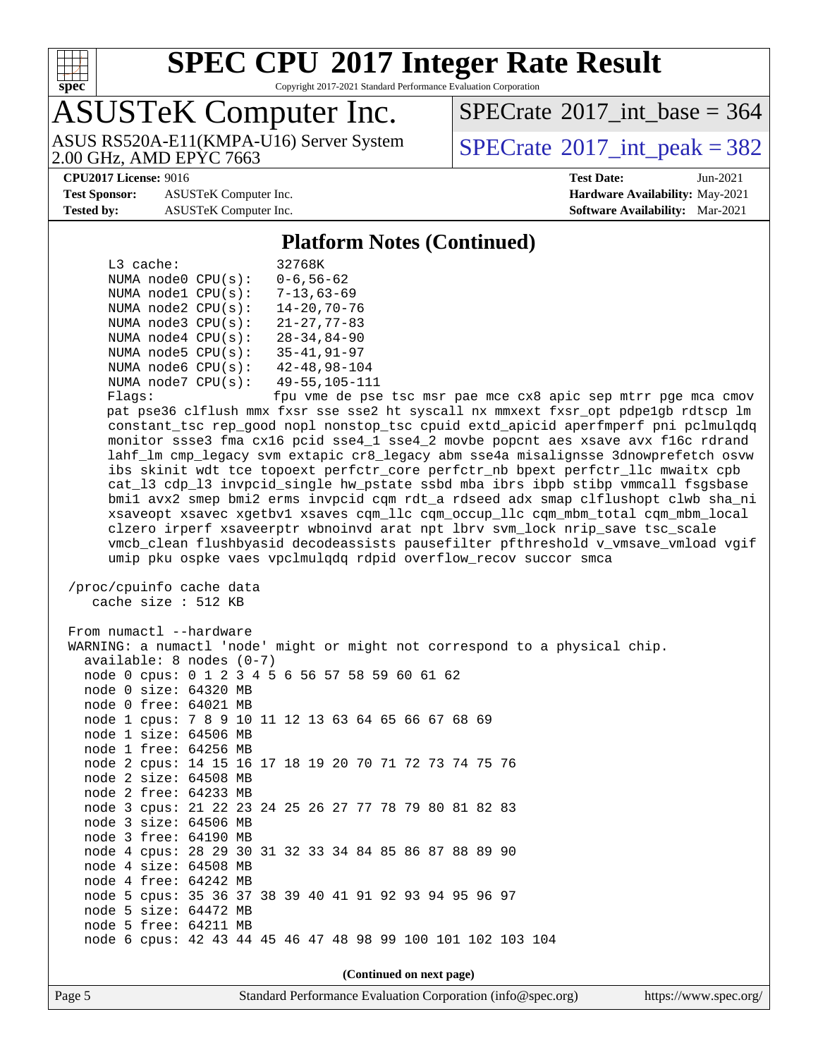

Copyright 2017-2021 Standard Performance Evaluation Corporation

## ASUSTeK Computer Inc.

ASUS RS520A-E11(KMPA-U16) Server System<br>2.00 GHz, AMD EPYC 7663

 $SPECTate$ <sup>®</sup>[2017\\_int\\_base =](http://www.spec.org/auto/cpu2017/Docs/result-fields.html#SPECrate2017intbase) 364

 $SPECTate<sup>®</sup>2017_int_p [peak = 382]$ 

**[Test Sponsor:](http://www.spec.org/auto/cpu2017/Docs/result-fields.html#TestSponsor)** ASUSTeK Computer Inc. **[Hardware Availability:](http://www.spec.org/auto/cpu2017/Docs/result-fields.html#HardwareAvailability)** May-2021 **[Tested by:](http://www.spec.org/auto/cpu2017/Docs/result-fields.html#Testedby)** ASUSTeK Computer Inc. **[Software Availability:](http://www.spec.org/auto/cpu2017/Docs/result-fields.html#SoftwareAvailability)** Mar-2021

**[CPU2017 License:](http://www.spec.org/auto/cpu2017/Docs/result-fields.html#CPU2017License)** 9016 **[Test Date:](http://www.spec.org/auto/cpu2017/Docs/result-fields.html#TestDate)** Jun-2021

#### **[Platform Notes \(Continued\)](http://www.spec.org/auto/cpu2017/Docs/result-fields.html#PlatformNotes)**

| L3 cache: |                          | 32768K               |  |  |  |
|-----------|--------------------------|----------------------|--|--|--|
|           | NUMA $node0$ $CPU(s)$ :  | $0 - 6, 56 - 62$     |  |  |  |
|           | NUMA nodel CPU(s):       | $7 - 13,63 - 69$     |  |  |  |
|           | NUMA $node2$ $CPU(s)$ :  | $14 - 20, 70 - 76$   |  |  |  |
|           | NUMA node3 CPU(s):       | $21 - 27, 77 - 83$   |  |  |  |
|           | NUMA $node4$ CPU $(s)$ : | $28 - 34.84 - 90$    |  |  |  |
|           | NUMA $node5$ CPU $(s)$ : | $35 - 41, 91 - 97$   |  |  |  |
|           | NUMA node6 CPU(s):       | $42 - 48, 98 - 104$  |  |  |  |
|           | NUMA $node7$ CPU $(s)$ : | $49 - 55, 105 - 111$ |  |  |  |
|           |                          |                      |  |  |  |

Flags: fpu vme de pse tsc msr pae mce cx8 apic sep mtrr pge mca cmov pat pse36 clflush mmx fxsr sse sse2 ht syscall nx mmxext fxsr\_opt pdpe1gb rdtscp lm constant\_tsc rep\_good nopl nonstop\_tsc cpuid extd\_apicid aperfmperf pni pclmulqdq monitor ssse3 fma cx16 pcid sse4\_1 sse4\_2 movbe popcnt aes xsave avx f16c rdrand lahf\_lm cmp\_legacy svm extapic cr8\_legacy abm sse4a misalignsse 3dnowprefetch osvw ibs skinit wdt tce topoext perfctr\_core perfctr\_nb bpext perfctr\_llc mwaitx cpb cat\_l3 cdp\_l3 invpcid\_single hw\_pstate ssbd mba ibrs ibpb stibp vmmcall fsgsbase bmi1 avx2 smep bmi2 erms invpcid cqm rdt\_a rdseed adx smap clflushopt clwb sha\_ni xsaveopt xsavec xgetbv1 xsaves cqm\_llc cqm\_occup\_llc cqm\_mbm\_total cqm\_mbm\_local clzero irperf xsaveerptr wbnoinvd arat npt lbrv svm\_lock nrip\_save tsc\_scale vmcb\_clean flushbyasid decodeassists pausefilter pfthreshold v\_vmsave\_vmload vgif umip pku ospke vaes vpclmulqdq rdpid overflow\_recov succor smca

```
 /proc/cpuinfo cache data
   cache size : 512 KB
```
 From numactl --hardware WARNING: a numactl 'node' might or might not correspond to a physical chip. available: 8 nodes (0-7) node 0 cpus: 0 1 2 3 4 5 6 56 57 58 59 60 61 62 node 0 size: 64320 MB node 0 free: 64021 MB node 1 cpus: 7 8 9 10 11 12 13 63 64 65 66 67 68 69 node 1 size: 64506 MB node 1 free: 64256 MB node 2 cpus: 14 15 16 17 18 19 20 70 71 72 73 74 75 76 node 2 size: 64508 MB node 2 free: 64233 MB node 3 cpus: 21 22 23 24 25 26 27 77 78 79 80 81 82 83 node 3 size: 64506 MB node 3 free: 64190 MB node 4 cpus: 28 29 30 31 32 33 34 84 85 86 87 88 89 90 node 4 size: 64508 MB node 4 free: 64242 MB node 5 cpus: 35 36 37 38 39 40 41 91 92 93 94 95 96 97 node 5 size: 64472 MB node 5 free: 64211 MB node 6 cpus: 42 43 44 45 46 47 48 98 99 100 101 102 103 104 **(Continued on next page)**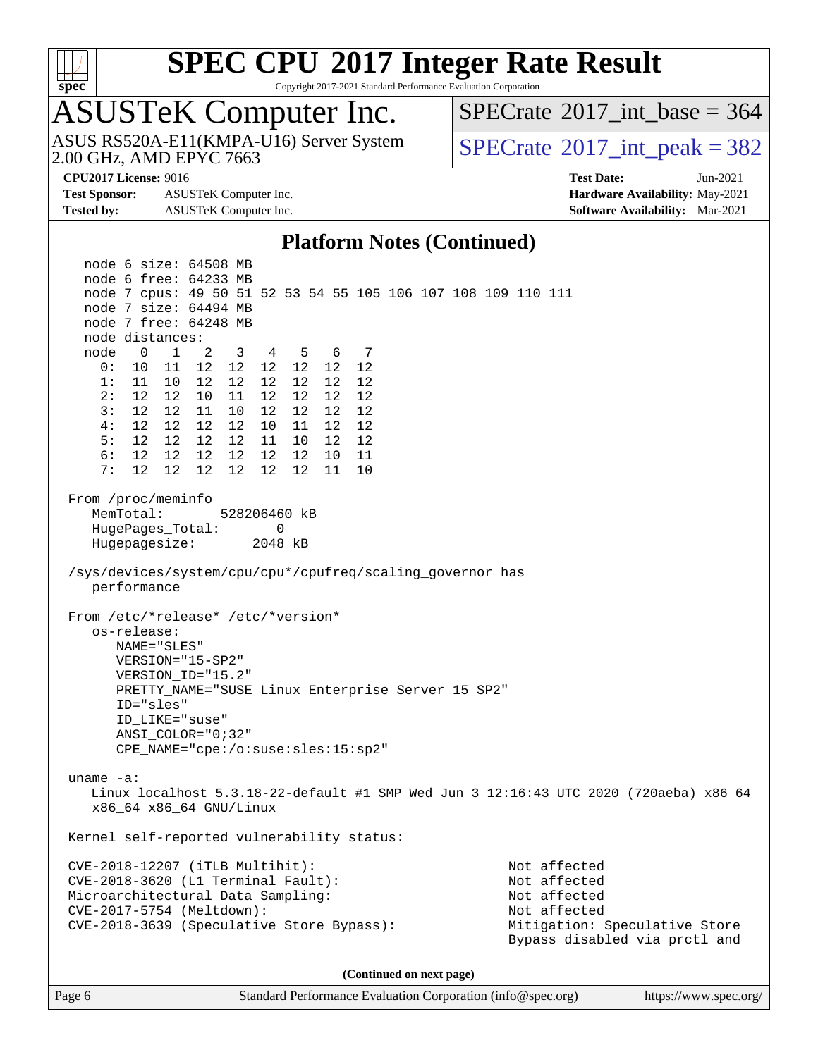

Copyright 2017-2021 Standard Performance Evaluation Corporation

## ASUSTeK Computer Inc.

2.00 GHz, AMD EPYC 7663 ASUS RS520A-E11(KMPA-U16) Server System  $\sqrt{\text{SPECrate}^{\otimes}2017\text{ int}}$  $\sqrt{\text{SPECrate}^{\otimes}2017\text{ int}}$  $\sqrt{\text{SPECrate}^{\otimes}2017\text{ int}}$  peak = 382

 $SPECTate$ <sup>®</sup>[2017\\_int\\_base =](http://www.spec.org/auto/cpu2017/Docs/result-fields.html#SPECrate2017intbase) 364

**[Test Sponsor:](http://www.spec.org/auto/cpu2017/Docs/result-fields.html#TestSponsor)** ASUSTeK Computer Inc. **[Hardware Availability:](http://www.spec.org/auto/cpu2017/Docs/result-fields.html#HardwareAvailability)** May-2021 **[Tested by:](http://www.spec.org/auto/cpu2017/Docs/result-fields.html#Testedby)** ASUSTeK Computer Inc. **[Software Availability:](http://www.spec.org/auto/cpu2017/Docs/result-fields.html#SoftwareAvailability)** Mar-2021

**[CPU2017 License:](http://www.spec.org/auto/cpu2017/Docs/result-fields.html#CPU2017License)** 9016 **[Test Date:](http://www.spec.org/auto/cpu2017/Docs/result-fields.html#TestDate)** Jun-2021

#### **[Platform Notes \(Continued\)](http://www.spec.org/auto/cpu2017/Docs/result-fields.html#PlatformNotes)**

 node 6 size: 64508 MB node 6 free: 64233 MB node 7 cpus: 49 50 51 52 53 54 55 105 106 107 108 109 110 111 node 7 size: 64494 MB node 7 free: 64248 MB node distances: node 0 1 2 3 4 5 6 7 0: 10 11 12 12 12 12 12 12 1: 11 10 12 12 12 12 12 12 2: 12 12 10 11 12 12 12 12 3: 12 12 11 10 12 12 12 12 4: 12 12 12 12 10 11 12 12 5: 12 12 12 12 11 10 12 12 6: 12 12 12 12 12 12 10 11 7: 12 12 12 12 12 12 11 10 From /proc/meminfo MemTotal: 528206460 kB HugePages\_Total: 0 Hugepagesize: 2048 kB /sys/devices/system/cpu/cpu\*/cpufreq/scaling\_governor has performance From /etc/\*release\* /etc/\*version\* os-release: NAME="SLES" VERSION="15-SP2" VERSION\_ID="15.2" PRETTY\_NAME="SUSE Linux Enterprise Server 15 SP2" ID="sles" ID\_LIKE="suse" ANSI\_COLOR="0;32" CPE\_NAME="cpe:/o:suse:sles:15:sp2" uname -a: Linux localhost 5.3.18-22-default #1 SMP Wed Jun 3 12:16:43 UTC 2020 (720aeba) x86\_64 x86\_64 x86\_64 GNU/Linux Kernel self-reported vulnerability status: CVE-2018-12207 (iTLB Multihit): Not affected CVE-2018-3620 (L1 Terminal Fault): Not affected Microarchitectural Data Sampling: Not affected CVE-2017-5754 (Meltdown): Not affected CVE-2018-3639 (Speculative Store Bypass): Mitigation: Speculative Store Bypass disabled via prctl and **(Continued on next page)**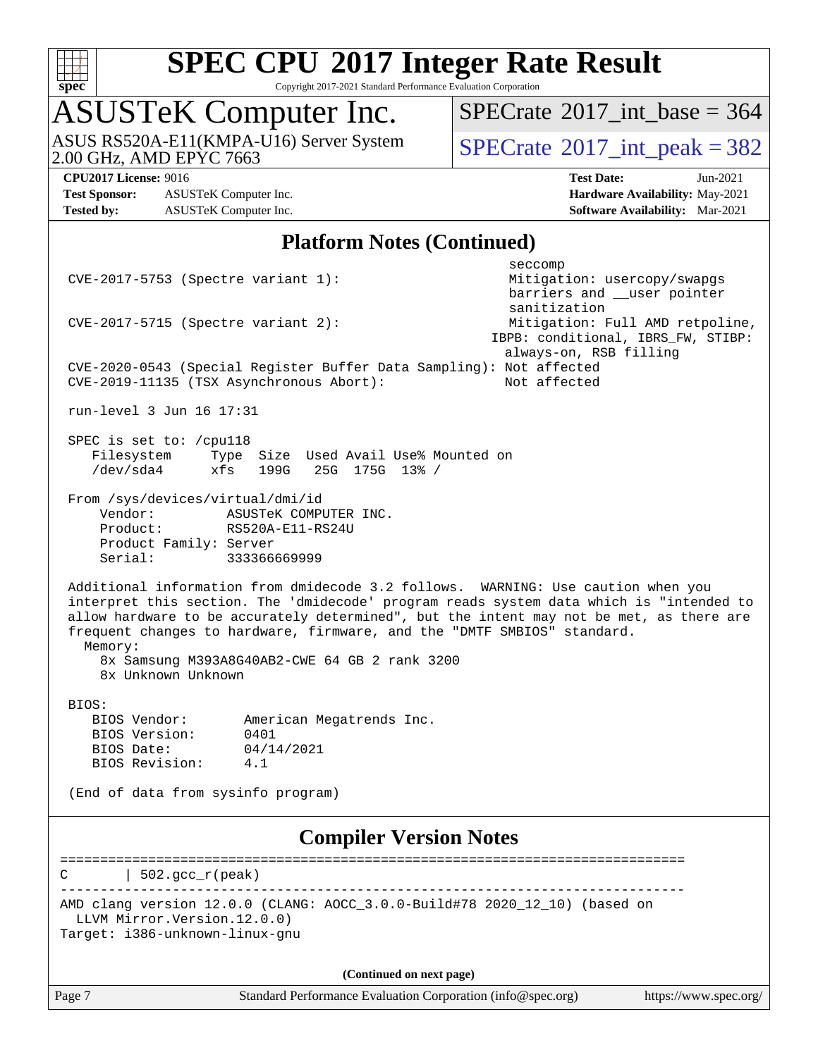

Copyright 2017-2021 Standard Performance Evaluation Corporation

## ASUSTeK Computer Inc.

2.00 GHz, AMD EPYC 7663 ASUS RS520A-E11(KMPA-U16) Server System  $\sqrt{\text{SPECrate}^{\otimes}2017\_int\_peak} = 382$  $\sqrt{\text{SPECrate}^{\otimes}2017\_int\_peak} = 382$  $\sqrt{\text{SPECrate}^{\otimes}2017\_int\_peak} = 382$ 

 $SPECTate$ <sup>®</sup>[2017\\_int\\_base =](http://www.spec.org/auto/cpu2017/Docs/result-fields.html#SPECrate2017intbase) 364

**[Test Sponsor:](http://www.spec.org/auto/cpu2017/Docs/result-fields.html#TestSponsor)** ASUSTeK Computer Inc. **[Hardware Availability:](http://www.spec.org/auto/cpu2017/Docs/result-fields.html#HardwareAvailability)** May-2021 **[Tested by:](http://www.spec.org/auto/cpu2017/Docs/result-fields.html#Testedby)** ASUSTeK Computer Inc. **[Software Availability:](http://www.spec.org/auto/cpu2017/Docs/result-fields.html#SoftwareAvailability)** Mar-2021

**[CPU2017 License:](http://www.spec.org/auto/cpu2017/Docs/result-fields.html#CPU2017License)** 9016 **[Test Date:](http://www.spec.org/auto/cpu2017/Docs/result-fields.html#TestDate)** Jun-2021

#### **[Platform Notes \(Continued\)](http://www.spec.org/auto/cpu2017/Docs/result-fields.html#PlatformNotes)**

seccompany and the second second seconds of the second seconds of the seconds of the seconds of the seconds of CVE-2017-5753 (Spectre variant 1): Mitigation: usercopy/swapgs barriers and \_\_user pointer sanitization CVE-2017-5715 (Spectre variant 2): Mitigation: Full AMD retpoline, IBPB: conditional, IBRS\_FW, STIBP: always-on, RSB filling CVE-2020-0543 (Special Register Buffer Data Sampling): Not affected CVE-2019-11135 (TSX Asynchronous Abort): Not affected run-level 3 Jun 16 17:31 SPEC is set to: /cpu118 Filesystem Type Size Used Avail Use% Mounted on<br>
/dev/sda4 xfs 199G 25G 175G 13% / /dev/sda4 xfs 199G 25G 175G 13% / From /sys/devices/virtual/dmi/id Vendor: ASUSTEK COMPUTER INC. Product: RS520A-E11-RS24U Product Family: Server Serial: 333366669999 Additional information from dmidecode 3.2 follows. WARNING: Use caution when you interpret this section. The 'dmidecode' program reads system data which is "intended to allow hardware to be accurately determined", but the intent may not be met, as there are frequent changes to hardware, firmware, and the "DMTF SMBIOS" standard. Memory: 8x Samsung M393A8G40AB2-CWE 64 GB 2 rank 3200 8x Unknown Unknown BIOS: BIOS Vendor: American Megatrends Inc.<br>BIOS Version: 0401 BIOS Version: BIOS Date: 04/14/2021 BIOS Revision: 4.1 (End of data from sysinfo program) **[Compiler Version Notes](http://www.spec.org/auto/cpu2017/Docs/result-fields.html#CompilerVersionNotes)** ==============================================================================  $C \qquad | \quad 502.\text{gcc\_r}(\text{peak})$ ------------------------------------------------------------------------------ AMD clang version 12.0.0 (CLANG: AOCC\_3.0.0-Build#78 2020\_12\_10) (based on LLVM Mirror.Version.12.0.0) Target: i386-unknown-linux-gnu **(Continued on next page)**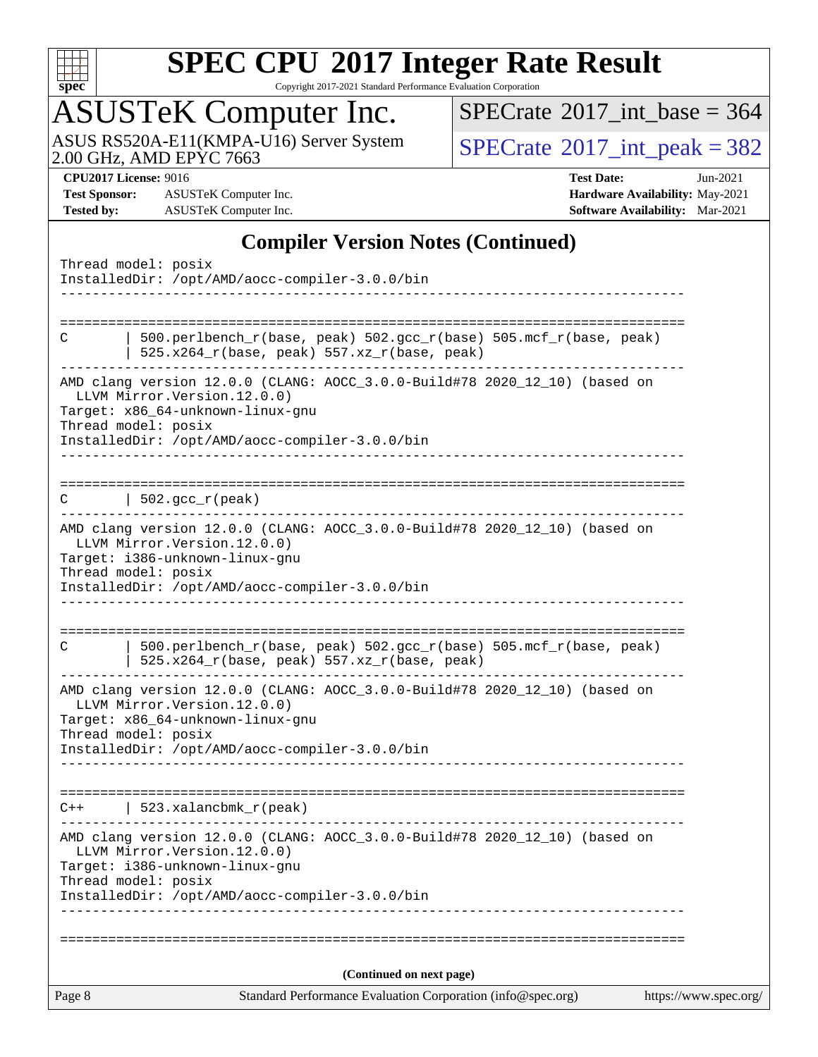

Copyright 2017-2021 Standard Performance Evaluation Corporation

## ASUSTeK Computer Inc.

ASUS RS520A-E11(KMPA-U16) Server System [SPECrate](http://www.spec.org/auto/cpu2017/Docs/result-fields.html#SPECrate2017intpeak)®[2017\\_int\\_peak = 3](http://www.spec.org/auto/cpu2017/Docs/result-fields.html#SPECrate2017intpeak)82

 $SPECrate$ <sup>®</sup>[2017\\_int\\_base =](http://www.spec.org/auto/cpu2017/Docs/result-fields.html#SPECrate2017intbase) 364

**[Test Sponsor:](http://www.spec.org/auto/cpu2017/Docs/result-fields.html#TestSponsor)** ASUSTeK Computer Inc. **[Hardware Availability:](http://www.spec.org/auto/cpu2017/Docs/result-fields.html#HardwareAvailability)** May-2021 **[Tested by:](http://www.spec.org/auto/cpu2017/Docs/result-fields.html#Testedby)** ASUSTeK Computer Inc. **[Software Availability:](http://www.spec.org/auto/cpu2017/Docs/result-fields.html#SoftwareAvailability)** Mar-2021

**[CPU2017 License:](http://www.spec.org/auto/cpu2017/Docs/result-fields.html#CPU2017License)** 9016 **[Test Date:](http://www.spec.org/auto/cpu2017/Docs/result-fields.html#TestDate)** Jun-2021

#### **[Compiler Version Notes \(Continued\)](http://www.spec.org/auto/cpu2017/Docs/result-fields.html#CompilerVersionNotes)**

| Thread model: posix<br>InstalledDir: /opt/AMD/aocc-compiler-3.0.0/bin                                                                                                  |                       |
|------------------------------------------------------------------------------------------------------------------------------------------------------------------------|-----------------------|
|                                                                                                                                                                        |                       |
| 500.perlbench_r(base, peak) 502.gcc_r(base) 505.mcf_r(base, peak)<br>C<br>525.x264_r(base, peak) 557.xz_r(base, peak)                                                  |                       |
| AMD clang version 12.0.0 (CLANG: AOCC_3.0.0-Build#78 2020_12_10) (based on<br>LLVM Mirror. Version. 12.0.0)<br>Target: x86_64-unknown-linux-gnu<br>Thread model: posix |                       |
| InstalledDir: /opt/AMD/aocc-compiler-3.0.0/bin                                                                                                                         |                       |
| $502.\text{gcc\_r}(\text{peak})$<br>C                                                                                                                                  |                       |
| AMD clang version 12.0.0 (CLANG: AOCC_3.0.0-Build#78 2020_12_10) (based on<br>LLVM Mirror. Version. 12.0.0)<br>Target: i386-unknown-linux-gnu                          |                       |
| Thread model: posix<br>InstalledDir: /opt/AMD/aocc-compiler-3.0.0/bin                                                                                                  |                       |
| ========================<br>500.perlbench_r(base, peak) 502.gcc_r(base) 505.mcf_r(base, peak)<br>C                                                                     |                       |
| 525.x264_r(base, peak) 557.xz_r(base, peak)                                                                                                                            |                       |
| AMD clang version 12.0.0 (CLANG: AOCC_3.0.0-Build#78 2020_12_10) (based on<br>LLVM Mirror. Version. 12.0.0)<br>Target: x86_64-unknown-linux-gnu                        |                       |
| Thread model: posix<br>InstalledDir: /opt/AMD/aocc-compiler-3.0.0/bin                                                                                                  |                       |
|                                                                                                                                                                        |                       |
| $523.xalanchm k_r (peak)$<br>$C++$<br>----------------------                                                                                                           |                       |
| AMD clang version 12.0.0 (CLANG: AOCC_3.0.0-Build#78 2020_12_10) (based on<br>LLVM Mirror.Version.12.0.0)<br>Target: i386-unknown-linux-gnu                            |                       |
| Thread model: posix<br>InstalledDir: /opt/AMD/aocc-compiler-3.0.0/bin                                                                                                  |                       |
|                                                                                                                                                                        |                       |
| (Continued on next page)                                                                                                                                               |                       |
| Standard Performance Evaluation Corporation (info@spec.org)<br>Page 8                                                                                                  | https://www.spec.org/ |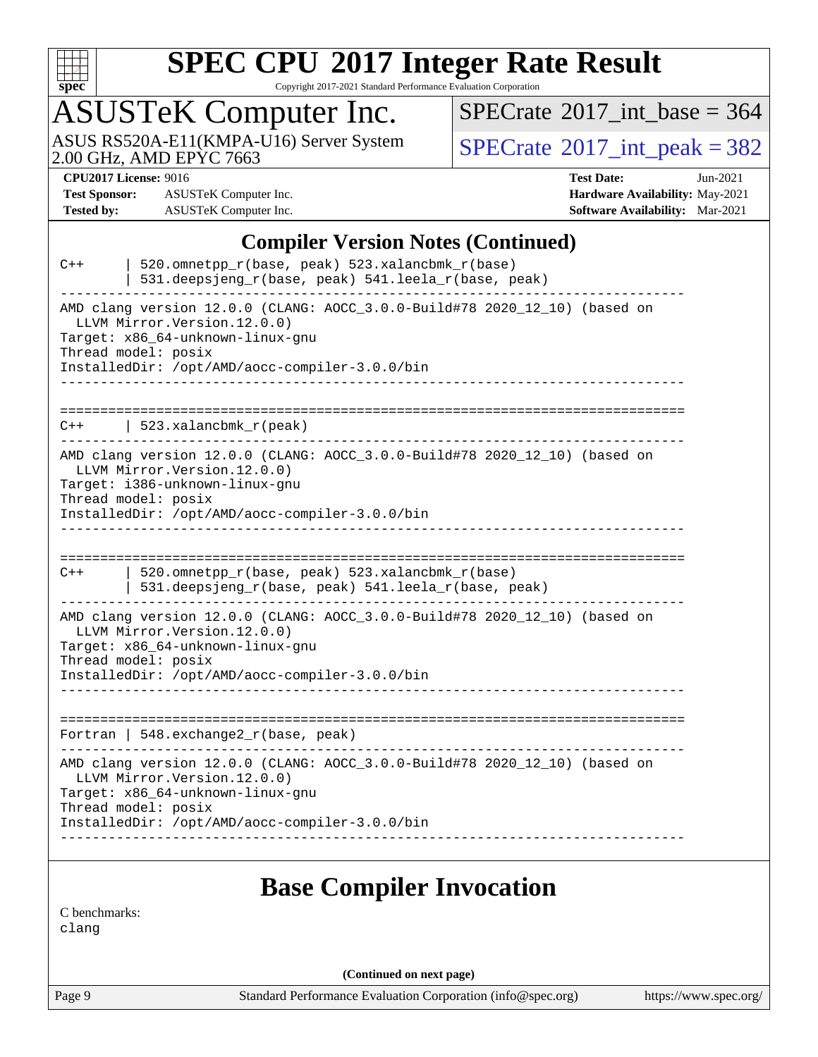

Copyright 2017-2021 Standard Performance Evaluation Corporation

## ASUSTeK Computer Inc.

 $SPECrate$ <sup>®</sup>[2017\\_int\\_base =](http://www.spec.org/auto/cpu2017/Docs/result-fields.html#SPECrate2017intbase) 364

ASUS RS520A-E11(KMPA-U16) Server System [SPECrate](http://www.spec.org/auto/cpu2017/Docs/result-fields.html#SPECrate2017intpeak)®[2017\\_int\\_peak = 3](http://www.spec.org/auto/cpu2017/Docs/result-fields.html#SPECrate2017intpeak)82

**[Test Sponsor:](http://www.spec.org/auto/cpu2017/Docs/result-fields.html#TestSponsor)** ASUSTeK Computer Inc. **[Hardware Availability:](http://www.spec.org/auto/cpu2017/Docs/result-fields.html#HardwareAvailability)** May-2021 **[Tested by:](http://www.spec.org/auto/cpu2017/Docs/result-fields.html#Testedby)** ASUSTeK Computer Inc. **[Software Availability:](http://www.spec.org/auto/cpu2017/Docs/result-fields.html#SoftwareAvailability)** Mar-2021

**[CPU2017 License:](http://www.spec.org/auto/cpu2017/Docs/result-fields.html#CPU2017License)** 9016 **[Test Date:](http://www.spec.org/auto/cpu2017/Docs/result-fields.html#TestDate)** Jun-2021

#### **[Compiler Version Notes \(Continued\)](http://www.spec.org/auto/cpu2017/Docs/result-fields.html#CompilerVersionNotes)**

| $C++$ | 520.omnetpp_r(base, peak) 523.xalancbmk_r(base)<br>531.deepsjeng_r(base, peak) 541.leela_r(base, peak)                                                                                                                   |
|-------|--------------------------------------------------------------------------------------------------------------------------------------------------------------------------------------------------------------------------|
|       | AMD clang version 12.0.0 (CLANG: AOCC_3.0.0-Build#78 2020_12_10) (based on<br>LLVM Mirror. Version. 12.0.0)<br>Target: x86_64-unknown-linux-gnu<br>Thread model: posix<br>InstalledDir: /opt/AMD/aocc-compiler-3.0.0/bin |
| $C++$ | 523.xalancbmk r(peak)                                                                                                                                                                                                    |
|       | AMD clang version 12.0.0 (CLANG: AOCC_3.0.0-Build#78 2020_12_10) (based on<br>LLVM Mirror. Version. 12.0.0)<br>Target: i386-unknown-linux-gnu<br>Thread model: posix<br>InstalledDir: /opt/AMD/aocc-compiler-3.0.0/bin   |
|       |                                                                                                                                                                                                                          |
| $C++$ | 520.omnetpp_r(base, peak) 523.xalancbmk_r(base)<br>531.deepsjeng_r(base, peak) 541.leela_r(base, peak)                                                                                                                   |
|       | AMD clang version 12.0.0 (CLANG: AOCC_3.0.0-Build#78 2020_12_10) (based on<br>LLVM Mirror. Version. 12.0.0)<br>Target: x86_64-unknown-linux-gnu<br>Thread model: posix<br>InstalledDir: /opt/AMD/aocc-compiler-3.0.0/bin |
|       |                                                                                                                                                                                                                          |
|       | Fortran   $548$ . exchange $2r$ (base, peak)                                                                                                                                                                             |
|       | AMD clang version 12.0.0 (CLANG: AOCC_3.0.0-Build#78 2020_12_10) (based on<br>LLVM Mirror. Version. 12.0.0)<br>Tarqet: x86 64-unknown-linux-qnu<br>Thread model: posix<br>InstalledDir: /opt/AMD/aocc-compiler-3.0.0/bin |
|       | <b>Base Compiler Invocation</b>                                                                                                                                                                                          |

[C benchmarks](http://www.spec.org/auto/cpu2017/Docs/result-fields.html#Cbenchmarks):

[clang](http://www.spec.org/cpu2017/results/res2021q3/cpu2017-20210705-27712.flags.html#user_CCbase_clang-c)

**(Continued on next page)**

Page 9 Standard Performance Evaluation Corporation [\(info@spec.org\)](mailto:info@spec.org) <https://www.spec.org/>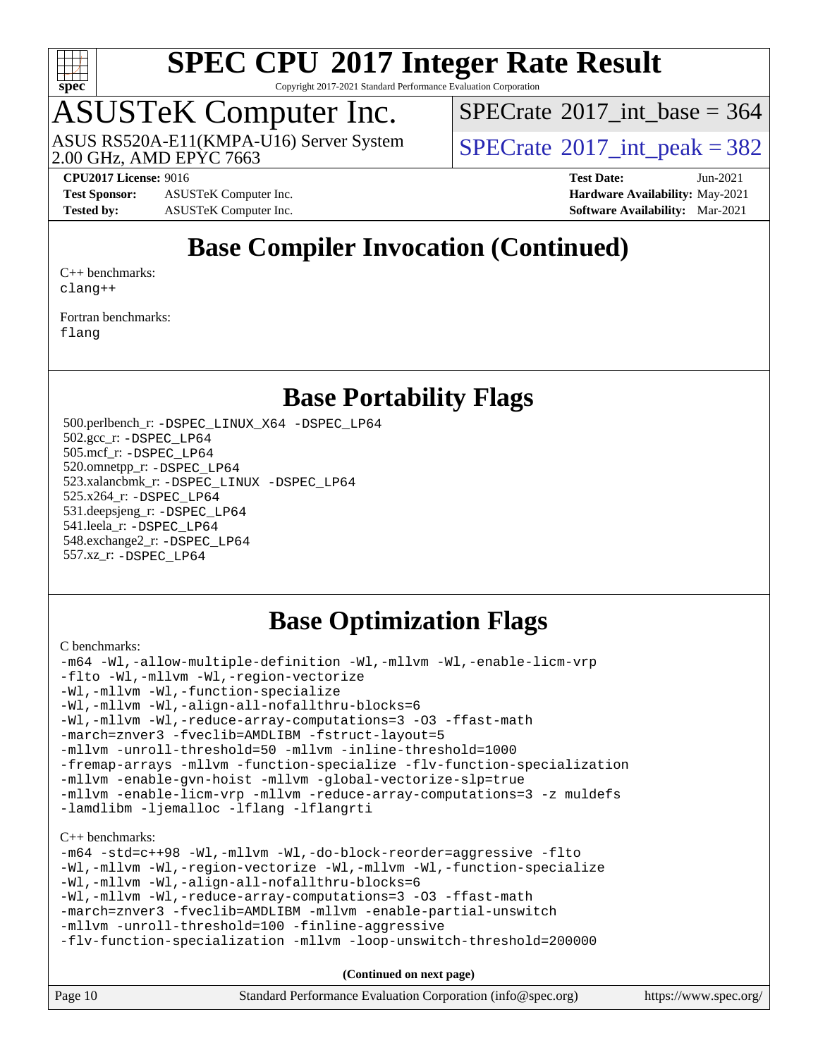

Copyright 2017-2021 Standard Performance Evaluation Corporation

## ASUSTeK Computer Inc.

ASUS RS520A-E11(KMPA-U16) Server System<br>2.00 GHz, AMD EPYC 7663

 $SPECTate$ <sup>®</sup>[2017\\_int\\_base =](http://www.spec.org/auto/cpu2017/Docs/result-fields.html#SPECrate2017intbase) 364

 $SPECTate@2017\_int\_peak = 382$ 

**[Test Sponsor:](http://www.spec.org/auto/cpu2017/Docs/result-fields.html#TestSponsor)** ASUSTeK Computer Inc. **[Hardware Availability:](http://www.spec.org/auto/cpu2017/Docs/result-fields.html#HardwareAvailability)** May-2021 **[Tested by:](http://www.spec.org/auto/cpu2017/Docs/result-fields.html#Testedby)** ASUSTeK Computer Inc. **[Software Availability:](http://www.spec.org/auto/cpu2017/Docs/result-fields.html#SoftwareAvailability)** Mar-2021

**[CPU2017 License:](http://www.spec.org/auto/cpu2017/Docs/result-fields.html#CPU2017License)** 9016 **[Test Date:](http://www.spec.org/auto/cpu2017/Docs/result-fields.html#TestDate)** Jun-2021

### **[Base Compiler Invocation \(Continued\)](http://www.spec.org/auto/cpu2017/Docs/result-fields.html#BaseCompilerInvocation)**

[C++ benchmarks:](http://www.spec.org/auto/cpu2017/Docs/result-fields.html#CXXbenchmarks) [clang++](http://www.spec.org/cpu2017/results/res2021q3/cpu2017-20210705-27712.flags.html#user_CXXbase_clang-cpp)

[Fortran benchmarks](http://www.spec.org/auto/cpu2017/Docs/result-fields.html#Fortranbenchmarks): [flang](http://www.spec.org/cpu2017/results/res2021q3/cpu2017-20210705-27712.flags.html#user_FCbase_flang)

#### **[Base Portability Flags](http://www.spec.org/auto/cpu2017/Docs/result-fields.html#BasePortabilityFlags)**

 500.perlbench\_r: [-DSPEC\\_LINUX\\_X64](http://www.spec.org/cpu2017/results/res2021q3/cpu2017-20210705-27712.flags.html#b500.perlbench_r_basePORTABILITY_DSPEC_LINUX_X64) [-DSPEC\\_LP64](http://www.spec.org/cpu2017/results/res2021q3/cpu2017-20210705-27712.flags.html#b500.perlbench_r_baseEXTRA_PORTABILITY_DSPEC_LP64) 502.gcc\_r: [-DSPEC\\_LP64](http://www.spec.org/cpu2017/results/res2021q3/cpu2017-20210705-27712.flags.html#suite_baseEXTRA_PORTABILITY502_gcc_r_DSPEC_LP64) 505.mcf\_r: [-DSPEC\\_LP64](http://www.spec.org/cpu2017/results/res2021q3/cpu2017-20210705-27712.flags.html#suite_baseEXTRA_PORTABILITY505_mcf_r_DSPEC_LP64) 520.omnetpp\_r: [-DSPEC\\_LP64](http://www.spec.org/cpu2017/results/res2021q3/cpu2017-20210705-27712.flags.html#suite_baseEXTRA_PORTABILITY520_omnetpp_r_DSPEC_LP64) 523.xalancbmk\_r: [-DSPEC\\_LINUX](http://www.spec.org/cpu2017/results/res2021q3/cpu2017-20210705-27712.flags.html#b523.xalancbmk_r_basePORTABILITY_DSPEC_LINUX) [-DSPEC\\_LP64](http://www.spec.org/cpu2017/results/res2021q3/cpu2017-20210705-27712.flags.html#suite_baseEXTRA_PORTABILITY523_xalancbmk_r_DSPEC_LP64) 525.x264\_r: [-DSPEC\\_LP64](http://www.spec.org/cpu2017/results/res2021q3/cpu2017-20210705-27712.flags.html#suite_baseEXTRA_PORTABILITY525_x264_r_DSPEC_LP64) 531.deepsjeng\_r: [-DSPEC\\_LP64](http://www.spec.org/cpu2017/results/res2021q3/cpu2017-20210705-27712.flags.html#suite_baseEXTRA_PORTABILITY531_deepsjeng_r_DSPEC_LP64) 541.leela\_r: [-DSPEC\\_LP64](http://www.spec.org/cpu2017/results/res2021q3/cpu2017-20210705-27712.flags.html#suite_baseEXTRA_PORTABILITY541_leela_r_DSPEC_LP64) 548.exchange2\_r: [-DSPEC\\_LP64](http://www.spec.org/cpu2017/results/res2021q3/cpu2017-20210705-27712.flags.html#suite_baseEXTRA_PORTABILITY548_exchange2_r_DSPEC_LP64) 557.xz\_r: [-DSPEC\\_LP64](http://www.spec.org/cpu2017/results/res2021q3/cpu2017-20210705-27712.flags.html#suite_baseEXTRA_PORTABILITY557_xz_r_DSPEC_LP64)

### **[Base Optimization Flags](http://www.spec.org/auto/cpu2017/Docs/result-fields.html#BaseOptimizationFlags)**

[C benchmarks](http://www.spec.org/auto/cpu2017/Docs/result-fields.html#Cbenchmarks):

```
-m64 -Wl,-allow-multiple-definition -Wl,-mllvm -Wl,-enable-licm-vrp
-flto -Wl,-mllvm -Wl,-region-vectorize
-Wl,-mllvm -Wl,-function-specialize
-Wl,-mllvm -Wl,-align-all-nofallthru-blocks=6
-Wl,-mllvm -Wl,-reduce-array-computations=3 -O3 -ffast-math
-march=znver3 -fveclib=AMDLIBM -fstruct-layout=5
-mllvm -unroll-threshold=50 -mllvm -inline-threshold=1000
-fremap-arrays -mllvm -function-specialize -flv-function-specialization
-mllvm -enable-gvn-hoist -mllvm -global-vectorize-slp=true
-mllvm -enable-licm-vrp -mllvm -reduce-array-computations=3 -z muldefs
-lamdlibm -ljemalloc -lflang -lflangrti
C++ benchmarks: 
-m64 -std=c++98 -Wl,-mllvm -Wl,-do-block-reorder=aggressive -flto
-Wl,-mllvm -Wl,-region-vectorize -Wl,-mllvm -Wl,-function-specialize
-Wl,-mllvm -Wl,-align-all-nofallthru-blocks=6
-Wl,-mllvm -Wl,-reduce-array-computations=3 -O3 -ffast-math
-march=znver3 -fveclib=AMDLIBM -mllvm -enable-partial-unswitch
-mllvm -unroll-threshold=100 -finline-aggressive
-flv-function-specialization -mllvm -loop-unswitch-threshold=200000
```
**(Continued on next page)**

| Page 10 | Standard Performance Evaluation Corporation (info@spec.org) | https://www.spec.org/ |
|---------|-------------------------------------------------------------|-----------------------|
|---------|-------------------------------------------------------------|-----------------------|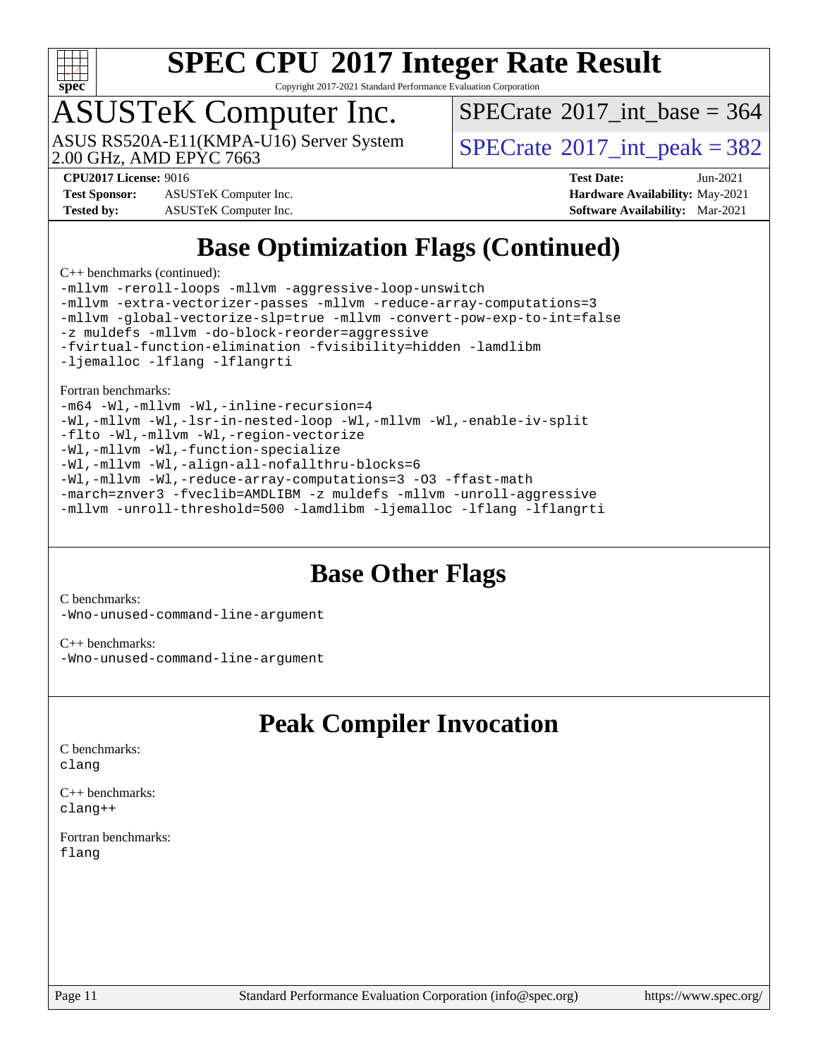

Copyright 2017-2021 Standard Performance Evaluation Corporation

## ASUSTeK Computer Inc.

ASUS RS520A-E11(KMPA-U16) Server System<br>2.00 GHz, AMD EPYC 7663

 $SPECTate$ <sup>®</sup>[2017\\_int\\_base =](http://www.spec.org/auto/cpu2017/Docs/result-fields.html#SPECrate2017intbase) 364

 $SPECTate@2017\_int\_peak = 382$ 

**[Test Sponsor:](http://www.spec.org/auto/cpu2017/Docs/result-fields.html#TestSponsor)** ASUSTeK Computer Inc. **[Hardware Availability:](http://www.spec.org/auto/cpu2017/Docs/result-fields.html#HardwareAvailability)** May-2021 **[Tested by:](http://www.spec.org/auto/cpu2017/Docs/result-fields.html#Testedby)** ASUSTeK Computer Inc. **[Software Availability:](http://www.spec.org/auto/cpu2017/Docs/result-fields.html#SoftwareAvailability)** Mar-2021

**[CPU2017 License:](http://www.spec.org/auto/cpu2017/Docs/result-fields.html#CPU2017License)** 9016 **[Test Date:](http://www.spec.org/auto/cpu2017/Docs/result-fields.html#TestDate)** Jun-2021

### **[Base Optimization Flags \(Continued\)](http://www.spec.org/auto/cpu2017/Docs/result-fields.html#BaseOptimizationFlags)**

[C++ benchmarks](http://www.spec.org/auto/cpu2017/Docs/result-fields.html#CXXbenchmarks) (continued):

[-mllvm -reroll-loops](http://www.spec.org/cpu2017/results/res2021q3/cpu2017-20210705-27712.flags.html#user_CXXbase_F-reroll-loops) [-mllvm -aggressive-loop-unswitch](http://www.spec.org/cpu2017/results/res2021q3/cpu2017-20210705-27712.flags.html#user_CXXbase_F-aggressive-loop-unswitch_abd8177005d493f9a81f88ae32814acdc0422950e54bc53b0605c538e2e7549eb43d48c826089056b98aa2f0c142dc7ed1401fa1c97db9286a8c3ff748437b59) [-mllvm -extra-vectorizer-passes](http://www.spec.org/cpu2017/results/res2021q3/cpu2017-20210705-27712.flags.html#user_CXXbase_F-extra-vectorizer-passes_4bb9f90681e045f5ce38050c5c48e52c5a95ed819cbc44e12f6b389a91a38f1bfb7d9f51b06906bf2bd7ccd881019f6383c418982c71e3a142c10a060056d555) [-mllvm -reduce-array-computations=3](http://www.spec.org/cpu2017/results/res2021q3/cpu2017-20210705-27712.flags.html#user_CXXbase_F-reduce-array-computations) [-mllvm -global-vectorize-slp=true](http://www.spec.org/cpu2017/results/res2021q3/cpu2017-20210705-27712.flags.html#user_CXXbase_F-global-vectorize-slp_f701c289ed3fc79483844cad3672606d268e3123d2651e764a36e57810b634b30ff7af25c43ce4288d0e4c1cc47ba156fce6ed971bc0d0e53c4c557f353d3dec) [-mllvm -convert-pow-exp-to-int=false](http://www.spec.org/cpu2017/results/res2021q3/cpu2017-20210705-27712.flags.html#user_CXXbase_F-convert-pow-exp-to-int_48075d7f300181d7350b7c152e089ba974e4acf53c583458eae87b0ecd6f9aa5a8546e2797aca77a784d497b972647cfd65b81c02996ee1106af5ba1043433c1) [-z muldefs](http://www.spec.org/cpu2017/results/res2021q3/cpu2017-20210705-27712.flags.html#user_CXXbase_aocc-muldefs) [-mllvm -do-block-reorder=aggressive](http://www.spec.org/cpu2017/results/res2021q3/cpu2017-20210705-27712.flags.html#user_CXXbase_F-do-block-reorder) [-fvirtual-function-elimination](http://www.spec.org/cpu2017/results/res2021q3/cpu2017-20210705-27712.flags.html#user_CXXbase_F-fvirtual-function-elimination) [-fvisibility=hidden](http://www.spec.org/cpu2017/results/res2021q3/cpu2017-20210705-27712.flags.html#user_CXXbase_F-fvisibility) [-lamdlibm](http://www.spec.org/cpu2017/results/res2021q3/cpu2017-20210705-27712.flags.html#user_CXXbase_F-lamdlibm) [-ljemalloc](http://www.spec.org/cpu2017/results/res2021q3/cpu2017-20210705-27712.flags.html#user_CXXbase_jemalloc-lib) [-lflang](http://www.spec.org/cpu2017/results/res2021q3/cpu2017-20210705-27712.flags.html#user_CXXbase_F-lflang) [-lflangrti](http://www.spec.org/cpu2017/results/res2021q3/cpu2017-20210705-27712.flags.html#user_CXXbase_F-lflangrti)

[Fortran benchmarks](http://www.spec.org/auto/cpu2017/Docs/result-fields.html#Fortranbenchmarks):

[-m64](http://www.spec.org/cpu2017/results/res2021q3/cpu2017-20210705-27712.flags.html#user_FCbase_F-m64) [-Wl,-mllvm -Wl,-inline-recursion=4](http://www.spec.org/cpu2017/results/res2021q3/cpu2017-20210705-27712.flags.html#user_FCbase_F-inline-recursion) [-Wl,-mllvm -Wl,-lsr-in-nested-loop](http://www.spec.org/cpu2017/results/res2021q3/cpu2017-20210705-27712.flags.html#user_FCbase_F-lsr-in-nested-loop) [-Wl,-mllvm -Wl,-enable-iv-split](http://www.spec.org/cpu2017/results/res2021q3/cpu2017-20210705-27712.flags.html#user_FCbase_F-enable-iv-split) [-flto](http://www.spec.org/cpu2017/results/res2021q3/cpu2017-20210705-27712.flags.html#user_FCbase_aocc-flto) [-Wl,-mllvm -Wl,-region-vectorize](http://www.spec.org/cpu2017/results/res2021q3/cpu2017-20210705-27712.flags.html#user_FCbase_F-region-vectorize_fb6c6b5aa293c88efc6c7c2b52b20755e943585b1fe8658c35afef78727fff56e1a56891413c30e36b8e2a6f9a71126986319243e80eb6110b78b288f533c52b) [-Wl,-mllvm -Wl,-function-specialize](http://www.spec.org/cpu2017/results/res2021q3/cpu2017-20210705-27712.flags.html#user_FCbase_F-function-specialize_7e7e661e57922243ee67c9a1251cb8910e607325179a0ce7f2884e09a6f5d4a5ef0ae4f37e8a2a11c95fc48e931f06dc2b6016f14b511fcb441e048bef1b065a) [-Wl,-mllvm -Wl,-align-all-nofallthru-blocks=6](http://www.spec.org/cpu2017/results/res2021q3/cpu2017-20210705-27712.flags.html#user_FCbase_F-align-all-nofallthru-blocks) [-Wl,-mllvm -Wl,-reduce-array-computations=3](http://www.spec.org/cpu2017/results/res2021q3/cpu2017-20210705-27712.flags.html#user_FCbase_F-reduce-array-computations_b882aefe7a5dda4e33149f6299762b9a720dace3e498e13756f4c04e5a19edf5315c1f3993de2e61ec41e8c206231f84e05da7040e1bb5d69ba27d10a12507e4) [-O3](http://www.spec.org/cpu2017/results/res2021q3/cpu2017-20210705-27712.flags.html#user_FCbase_F-O3) [-ffast-math](http://www.spec.org/cpu2017/results/res2021q3/cpu2017-20210705-27712.flags.html#user_FCbase_aocc-ffast-math) [-march=znver3](http://www.spec.org/cpu2017/results/res2021q3/cpu2017-20210705-27712.flags.html#user_FCbase_aocc-march) [-fveclib=AMDLIBM](http://www.spec.org/cpu2017/results/res2021q3/cpu2017-20210705-27712.flags.html#user_FCbase_F-fveclib) [-z muldefs](http://www.spec.org/cpu2017/results/res2021q3/cpu2017-20210705-27712.flags.html#user_FCbase_aocc-muldefs) [-mllvm -unroll-aggressive](http://www.spec.org/cpu2017/results/res2021q3/cpu2017-20210705-27712.flags.html#user_FCbase_F-unroll-aggressive) [-mllvm -unroll-threshold=500](http://www.spec.org/cpu2017/results/res2021q3/cpu2017-20210705-27712.flags.html#user_FCbase_F-unroll-threshold_6344f35bb9416f763444895f2c0828bc11d6b70541d01165f9793831738f396c84c63e00879c73114837d9915973441965f43a8aa0b0cec1300ec9f6fa61abad) [-lamdlibm](http://www.spec.org/cpu2017/results/res2021q3/cpu2017-20210705-27712.flags.html#user_FCbase_F-lamdlibm) [-ljemalloc](http://www.spec.org/cpu2017/results/res2021q3/cpu2017-20210705-27712.flags.html#user_FCbase_jemalloc-lib) [-lflang](http://www.spec.org/cpu2017/results/res2021q3/cpu2017-20210705-27712.flags.html#user_FCbase_F-lflang) [-lflangrti](http://www.spec.org/cpu2017/results/res2021q3/cpu2017-20210705-27712.flags.html#user_FCbase_F-lflangrti)

#### **[Base Other Flags](http://www.spec.org/auto/cpu2017/Docs/result-fields.html#BaseOtherFlags)**

[C benchmarks](http://www.spec.org/auto/cpu2017/Docs/result-fields.html#Cbenchmarks): [-Wno-unused-command-line-argument](http://www.spec.org/cpu2017/results/res2021q3/cpu2017-20210705-27712.flags.html#user_CCbase_F-Wno-unused-command-line-argument)

[C++ benchmarks:](http://www.spec.org/auto/cpu2017/Docs/result-fields.html#CXXbenchmarks) [-Wno-unused-command-line-argument](http://www.spec.org/cpu2017/results/res2021q3/cpu2017-20210705-27712.flags.html#user_CXXbase_F-Wno-unused-command-line-argument)

### **[Peak Compiler Invocation](http://www.spec.org/auto/cpu2017/Docs/result-fields.html#PeakCompilerInvocation)**

[C benchmarks](http://www.spec.org/auto/cpu2017/Docs/result-fields.html#Cbenchmarks): [clang](http://www.spec.org/cpu2017/results/res2021q3/cpu2017-20210705-27712.flags.html#user_CCpeak_clang-c)

[C++ benchmarks:](http://www.spec.org/auto/cpu2017/Docs/result-fields.html#CXXbenchmarks) [clang++](http://www.spec.org/cpu2017/results/res2021q3/cpu2017-20210705-27712.flags.html#user_CXXpeak_clang-cpp)

[Fortran benchmarks](http://www.spec.org/auto/cpu2017/Docs/result-fields.html#Fortranbenchmarks): [flang](http://www.spec.org/cpu2017/results/res2021q3/cpu2017-20210705-27712.flags.html#user_FCpeak_flang)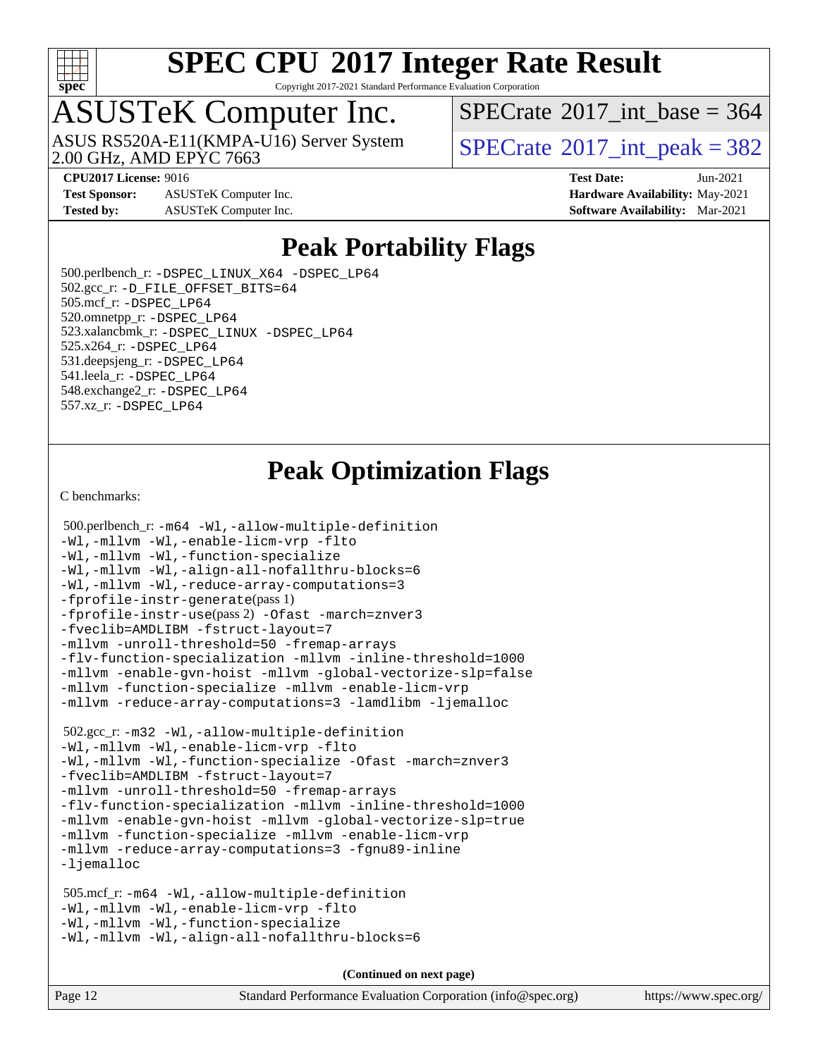

Copyright 2017-2021 Standard Performance Evaluation Corporation

## ASUSTeK Computer Inc.

ASUS RS520A-E11(KMPA-U16) Server System<br>2.00 GHz, AMD EPYC 7663

 $SPECTate$ <sup>®</sup>[2017\\_int\\_base =](http://www.spec.org/auto/cpu2017/Docs/result-fields.html#SPECrate2017intbase) 364

**[Test Sponsor:](http://www.spec.org/auto/cpu2017/Docs/result-fields.html#TestSponsor)** ASUSTeK Computer Inc. **[Hardware Availability:](http://www.spec.org/auto/cpu2017/Docs/result-fields.html#HardwareAvailability)** May-2021 **[Tested by:](http://www.spec.org/auto/cpu2017/Docs/result-fields.html#Testedby)** ASUSTeK Computer Inc. **[Software Availability:](http://www.spec.org/auto/cpu2017/Docs/result-fields.html#SoftwareAvailability)** Mar-2021

 $SPECTate@2017\_int\_peak = 382$ 

**[CPU2017 License:](http://www.spec.org/auto/cpu2017/Docs/result-fields.html#CPU2017License)** 9016 **[Test Date:](http://www.spec.org/auto/cpu2017/Docs/result-fields.html#TestDate)** Jun-2021

### **[Peak Portability Flags](http://www.spec.org/auto/cpu2017/Docs/result-fields.html#PeakPortabilityFlags)**

 500.perlbench\_r: [-DSPEC\\_LINUX\\_X64](http://www.spec.org/cpu2017/results/res2021q3/cpu2017-20210705-27712.flags.html#b500.perlbench_r_peakPORTABILITY_DSPEC_LINUX_X64) [-DSPEC\\_LP64](http://www.spec.org/cpu2017/results/res2021q3/cpu2017-20210705-27712.flags.html#b500.perlbench_r_peakEXTRA_PORTABILITY_DSPEC_LP64) 502.gcc\_r: [-D\\_FILE\\_OFFSET\\_BITS=64](http://www.spec.org/cpu2017/results/res2021q3/cpu2017-20210705-27712.flags.html#user_peakEXTRA_PORTABILITY502_gcc_r_F-D_FILE_OFFSET_BITS_5ae949a99b284ddf4e95728d47cb0843d81b2eb0e18bdfe74bbf0f61d0b064f4bda2f10ea5eb90e1dcab0e84dbc592acfc5018bc955c18609f94ddb8d550002c) 505.mcf\_r: [-DSPEC\\_LP64](http://www.spec.org/cpu2017/results/res2021q3/cpu2017-20210705-27712.flags.html#suite_peakEXTRA_PORTABILITY505_mcf_r_DSPEC_LP64) 520.omnetpp\_r: [-DSPEC\\_LP64](http://www.spec.org/cpu2017/results/res2021q3/cpu2017-20210705-27712.flags.html#suite_peakEXTRA_PORTABILITY520_omnetpp_r_DSPEC_LP64) 523.xalancbmk\_r: [-DSPEC\\_LINUX](http://www.spec.org/cpu2017/results/res2021q3/cpu2017-20210705-27712.flags.html#b523.xalancbmk_r_peakPORTABILITY_DSPEC_LINUX) [-DSPEC\\_LP64](http://www.spec.org/cpu2017/results/res2021q3/cpu2017-20210705-27712.flags.html#suite_peakEXTRA_PORTABILITY523_xalancbmk_r_DSPEC_LP64) 525.x264\_r: [-DSPEC\\_LP64](http://www.spec.org/cpu2017/results/res2021q3/cpu2017-20210705-27712.flags.html#suite_peakEXTRA_PORTABILITY525_x264_r_DSPEC_LP64) 531.deepsjeng\_r: [-DSPEC\\_LP64](http://www.spec.org/cpu2017/results/res2021q3/cpu2017-20210705-27712.flags.html#suite_peakEXTRA_PORTABILITY531_deepsjeng_r_DSPEC_LP64) 541.leela\_r: [-DSPEC\\_LP64](http://www.spec.org/cpu2017/results/res2021q3/cpu2017-20210705-27712.flags.html#suite_peakEXTRA_PORTABILITY541_leela_r_DSPEC_LP64) 548.exchange2\_r: [-DSPEC\\_LP64](http://www.spec.org/cpu2017/results/res2021q3/cpu2017-20210705-27712.flags.html#suite_peakEXTRA_PORTABILITY548_exchange2_r_DSPEC_LP64) 557.xz\_r: [-DSPEC\\_LP64](http://www.spec.org/cpu2017/results/res2021q3/cpu2017-20210705-27712.flags.html#suite_peakEXTRA_PORTABILITY557_xz_r_DSPEC_LP64)

### **[Peak Optimization Flags](http://www.spec.org/auto/cpu2017/Docs/result-fields.html#PeakOptimizationFlags)**

[C benchmarks](http://www.spec.org/auto/cpu2017/Docs/result-fields.html#Cbenchmarks):

```
 500.perlbench_r: -m64 -Wl,-allow-multiple-definition
-Wl,-mllvm -Wl,-enable-licm-vrp -flto
-Wl,-mllvm -Wl,-function-specialize
-Wl,-mllvm -Wl,-align-all-nofallthru-blocks=6
-Wl,-mllvm -Wl,-reduce-array-computations=3
-fprofile-instr-generate(pass 1)
-fprofile-instr-use(pass 2) -Ofast -march=znver3
-fveclib=AMDLIBM -fstruct-layout=7
-mllvm -unroll-threshold=50 -fremap-arrays
-flv-function-specialization -mllvm -inline-threshold=1000
-mllvm -enable-gvn-hoist -mllvm -global-vectorize-slp=false
-mllvm -function-specialize -mllvm -enable-licm-vrp
-mllvm -reduce-array-computations=3 -lamdlibm -ljemalloc
 502.gcc_r: -m32 -Wl,-allow-multiple-definition
-Wl,-mllvm -Wl,-enable-licm-vrp -flto
-Wl,-mllvm -Wl,-function-specialize -Ofast -march=znver3
-fveclib=AMDLIBM -fstruct-layout=7
-mllvm -unroll-threshold=50 -fremap-arrays
-flv-function-specialization -mllvm -inline-threshold=1000
-mllvm -enable-gvn-hoist -mllvm -global-vectorize-slp=true
-mllvm -function-specialize -mllvm -enable-licm-vrp
-mllvm -reduce-array-computations=3 -fgnu89-inline
-ljemalloc
 505.mcf_r: -m64 -Wl,-allow-multiple-definition
-Wl,-mllvm -Wl,-enable-licm-vrp -flto
-Wl,-mllvm -Wl,-function-specialize
-Wl,-mllvm -Wl,-align-all-nofallthru-blocks=6
```
**(Continued on next page)**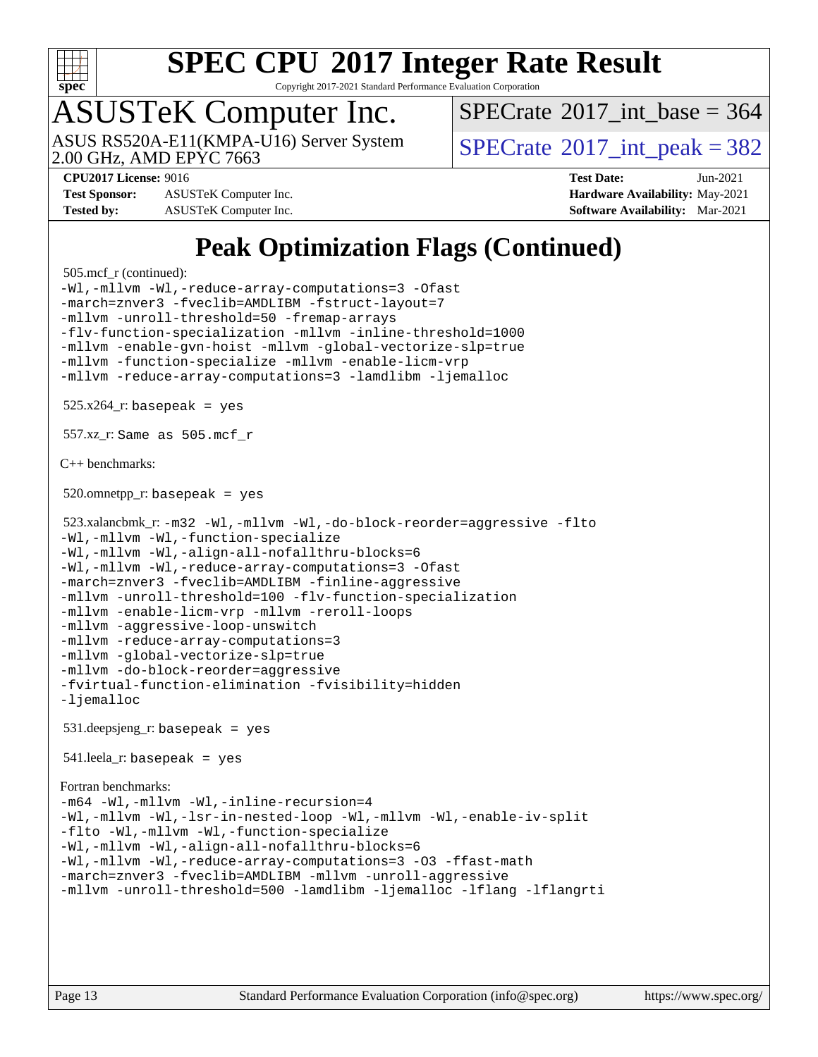

Copyright 2017-2021 Standard Performance Evaluation Corporation

## ASUSTeK Computer Inc.

2.00 GHz, AMD EPYC 7663 ASUS RS520A-E11(KMPA-U16) Server System  $\sqrt{\text{SPECrate}^{\otimes}2017\text{ int}}$  $\sqrt{\text{SPECrate}^{\otimes}2017\text{ int}}$  $\sqrt{\text{SPECrate}^{\otimes}2017\text{ int}}$  peak = 382

 $SPECTate$ <sup>®</sup>[2017\\_int\\_base =](http://www.spec.org/auto/cpu2017/Docs/result-fields.html#SPECrate2017intbase) 364

**[Test Sponsor:](http://www.spec.org/auto/cpu2017/Docs/result-fields.html#TestSponsor)** ASUSTeK Computer Inc. **[Hardware Availability:](http://www.spec.org/auto/cpu2017/Docs/result-fields.html#HardwareAvailability)** May-2021 **[Tested by:](http://www.spec.org/auto/cpu2017/Docs/result-fields.html#Testedby)** ASUSTeK Computer Inc. **[Software Availability:](http://www.spec.org/auto/cpu2017/Docs/result-fields.html#SoftwareAvailability)** Mar-2021

**[CPU2017 License:](http://www.spec.org/auto/cpu2017/Docs/result-fields.html#CPU2017License)** 9016 **[Test Date:](http://www.spec.org/auto/cpu2017/Docs/result-fields.html#TestDate)** Jun-2021

### **[Peak Optimization Flags \(Continued\)](http://www.spec.org/auto/cpu2017/Docs/result-fields.html#PeakOptimizationFlags)**

```
 505.mcf_r (continued):
-Wl,-mllvm -Wl,-reduce-array-computations=3 -Ofast
-march=znver3 -fveclib=AMDLIBM -fstruct-layout=7
-mllvm -unroll-threshold=50 -fremap-arrays
-flv-function-specialization -mllvm -inline-threshold=1000
-mllvm -enable-gvn-hoist -mllvm -global-vectorize-slp=true
-mllvm -function-specialize -mllvm -enable-licm-vrp
-mllvm -reduce-array-computations=3 -lamdlibm -ljemalloc
525.x264<sup>r:</sup> basepeak = yes
 557.xz_r: Same as 505.mcf_r
C++ benchmarks: 
520.omnetpp_r: basepeak = yes
 523.xalancbmk_r: -m32 -Wl,-mllvm -Wl,-do-block-reorder=aggressive -flto
-Wl,-mllvm -Wl,-function-specialize
-Wl,-mllvm -Wl,-align-all-nofallthru-blocks=6
-Wl,-mllvm -Wl,-reduce-array-computations=3 -Ofast
-march=znver3 -fveclib=AMDLIBM -finline-aggressive
-mllvm -unroll-threshold=100 -flv-function-specialization
-mllvm -enable-licm-vrp -mllvm -reroll-loops
-mllvm -aggressive-loop-unswitch
-mllvm -reduce-array-computations=3
-mllvm -global-vectorize-slp=true
-mllvm -do-block-reorder=aggressive
-fvirtual-function-elimination -fvisibility=hidden
-ljemalloc
 531.deepsjeng_r: basepeak = yes
 541.leela_r: basepeak = yes
Fortran benchmarks: 
-m64 -Wl,-mllvm -Wl,-inline-recursion=4
-Wl,-mllvm -Wl,-lsr-in-nested-loop -Wl,-mllvm -Wl,-enable-iv-split
-flto -Wl,-mllvm -Wl,-function-specialize
-Wl,-mllvm -Wl,-align-all-nofallthru-blocks=6
-Wl,-mllvm -Wl,-reduce-array-computations=3 -O3 -ffast-math
-march=znver3 -fveclib=AMDLIBM -mllvm -unroll-aggressive
-mllvm -unroll-threshold=500 -lamdlibm -ljemalloc -lflang -lflangrti
```